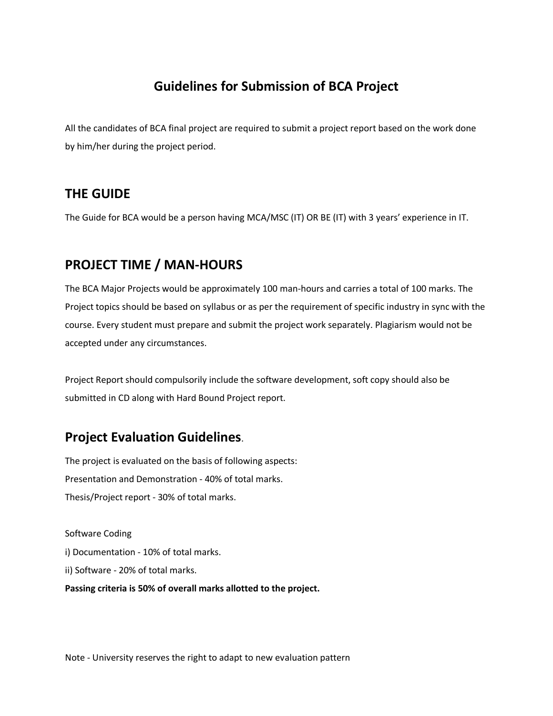# **Guidelines for Submission of BCA Project**

All the candidates of BCA final project are required to submit a project report based on the work done by him/her during the project period.

## **THE GUIDE**

The Guide for BCA would be a person having MCA/MSC (IT) OR BE (IT) with 3 years' experience in IT.

# **PROJECT TIME / MAN-HOURS**

The BCA Major Projects would be approximately 100 man-hours and carries a total of 100 marks. The Project topics should be based on syllabus or as per the requirement of specific industry in sync with the course. Every student must prepare and submit the project work separately. Plagiarism would not be accepted under any circumstances.

Project Report should compulsorily include the software development, soft copy should also be submitted in CD along with Hard Bound Project report.

# **Project Evaluation Guidelines**.

The project is evaluated on the basis of following aspects: Presentation and Demonstration - 40% of total marks. Thesis/Project report - 30% of total marks.

Software Coding i) Documentation - 10% of total marks. ii) Software - 20% of total marks. **Passing criteria is 50% of overall marks allotted to the project.**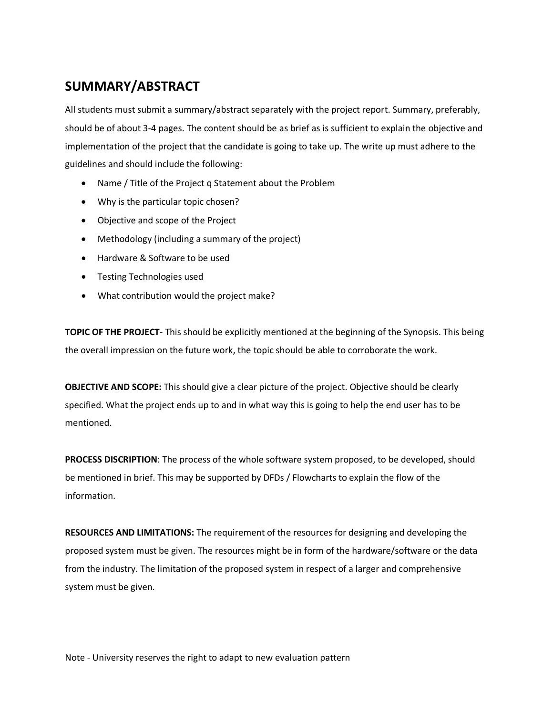# **SUMMARY/ABSTRACT**

All students must submit a summary/abstract separately with the project report. Summary, preferably, should be of about 3-4 pages. The content should be as brief as is sufficient to explain the objective and implementation of the project that the candidate is going to take up. The write up must adhere to the guidelines and should include the following:

- Name / Title of the Project q Statement about the Problem
- Why is the particular topic chosen?
- Objective and scope of the Project
- Methodology (including a summary of the project)
- Hardware & Software to be used
- Testing Technologies used
- What contribution would the project make?

**TOPIC OF THE PROJECT**- This should be explicitly mentioned at the beginning of the Synopsis. This being the overall impression on the future work, the topic should be able to corroborate the work.

**OBJECTIVE AND SCOPE:** This should give a clear picture of the project. Objective should be clearly specified. What the project ends up to and in what way this is going to help the end user has to be mentioned.

**PROCESS DISCRIPTION**: The process of the whole software system proposed, to be developed, should be mentioned in brief. This may be supported by DFDs / Flowcharts to explain the flow of the information.

**RESOURCES AND LIMITATIONS:** The requirement of the resources for designing and developing the proposed system must be given. The resources might be in form of the hardware/software or the data from the industry. The limitation of the proposed system in respect of a larger and comprehensive system must be given.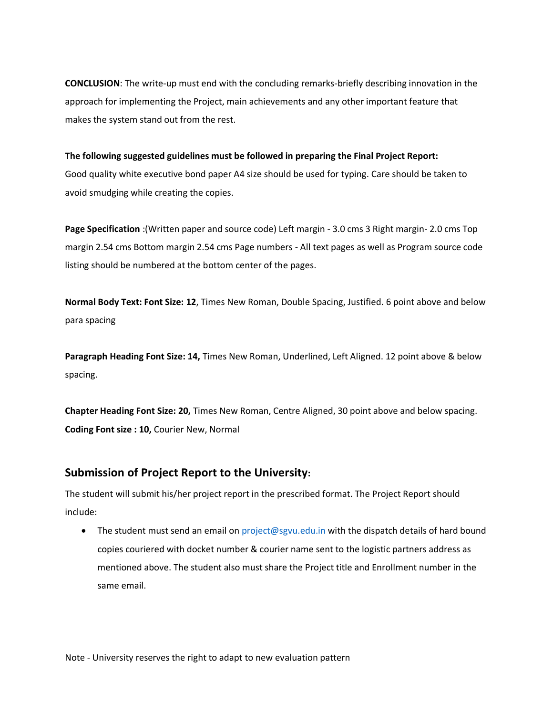**CONCLUSION**: The write-up must end with the concluding remarks-briefly describing innovation in the approach for implementing the Project, main achievements and any other important feature that makes the system stand out from the rest.

#### **The following suggested guidelines must be followed in preparing the Final Project Report:**

Good quality white executive bond paper A4 size should be used for typing. Care should be taken to avoid smudging while creating the copies.

**Page Specification** :(Written paper and source code) Left margin - 3.0 cms 3 Right margin- 2.0 cms Top margin 2.54 cms Bottom margin 2.54 cms Page numbers - All text pages as well as Program source code listing should be numbered at the bottom center of the pages.

**Normal Body Text: Font Size: 12**, Times New Roman, Double Spacing, Justified. 6 point above and below para spacing

**Paragraph Heading Font Size: 14,** Times New Roman, Underlined, Left Aligned. 12 point above & below spacing.

**Chapter Heading Font Size: 20,** Times New Roman, Centre Aligned, 30 point above and below spacing. **Coding Font size : 10,** Courier New, Normal

### **Submission of Project Report to the University:**

The student will submit his/her project report in the prescribed format. The Project Report should include:

• The student must send an email on project@sgvu.edu.in with the dispatch details of hard bound copies couriered with docket number & courier name sent to the logistic partners address as mentioned above. The student also must share the Project title and Enrollment number in the same email.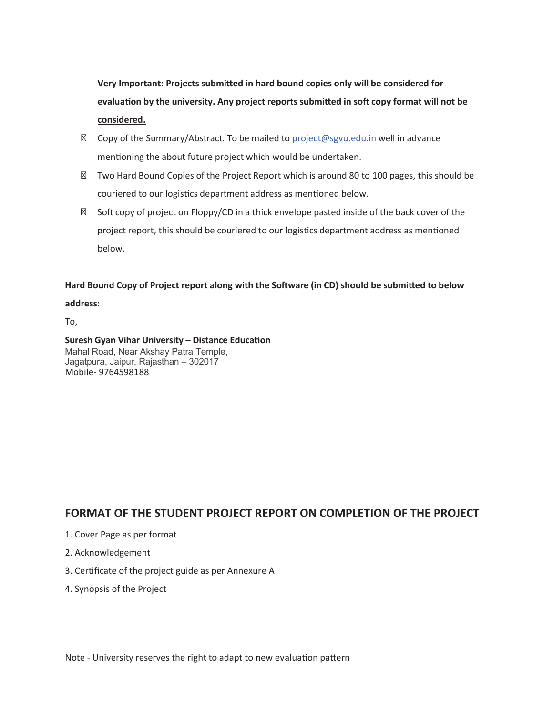**Very Important: Projects submitted in hard bound copies only will be considered for** evaluation by the university. Any project reports submitted in soft copy format will not be **considered.**

Copy of the Summary/Abstract. To be mailed to project@sgvu.edu.in well in advance mentioning the about future project which would be undertaken.

Two Hard Bound Copies of the Project Report which is around 80 to 100 pages, this should be couriered to our logistics department address as mentioned below.

Soft copy of project on Floppy/CD in a thick envelope pasted inside of the back cover of the project report, this should be couriered to our logistics department address as mentioned below.

Hard Bound Copy of Project report along with the Software (in CD) should be submitted to below **address:**

To,

Mahal Road, Near Akshay Patra Temple, Jagatpura, Jaipur, Rajasthan – 302017 Mobile- 9764598188 **Suresh Gyan Vihar University – Distance Education**

### **FORMAT OF THE STUDENT PROJECT REPORT ON COMPLETION OF THE PROJECT**

- 1. Cover Page as per format
- 2. Acknowledgement
- 3. Certificate of the project guide as per Annexure A
- 4. Synopsis of the Project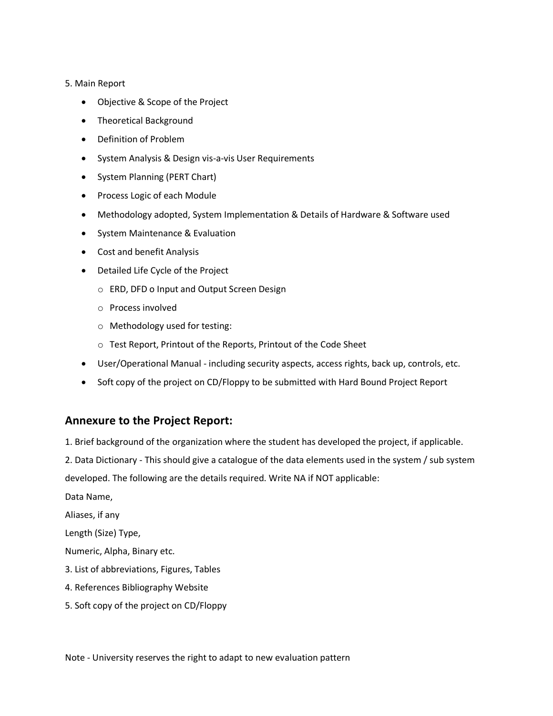#### 5. Main Report

- Objective & Scope of the Project
- Theoretical Background
- Definition of Problem
- System Analysis & Design vis-a-vis User Requirements
- System Planning (PERT Chart)
- Process Logic of each Module
- Methodology adopted, System Implementation & Details of Hardware & Software used
- System Maintenance & Evaluation
- Cost and benefit Analysis
- Detailed Life Cycle of the Project
	- $\circ$  ERD, DFD o Input and Output Screen Design
	- $\circ$  Process involved
	- $\circ$  Methodology used for testing:
	- o Test Report, Printout of the Reports, Printout of the Code Sheet
- User/Operational Manual including security aspects, access rights, back up, controls, etc.
- Soft copy of the project on CD/Floppy to be submitted with Hard Bound Project Report

### **Annexure to the Project Report:**

1. Brief background of the organization where the student has developed the project, if applicable.

2. Data Dictionary - This should give a catalogue of the data elements used in the system / sub system

developed. The following are the details required. Write NA if NOT applicable:

Data Name,

Aliases, if any

Length (Size) Type,

Numeric, Alpha, Binary etc.

- 3. List of abbreviations, Figures, Tables
- 4. References Bibliography Website
- 5. Soft copy of the project on CD/Floppy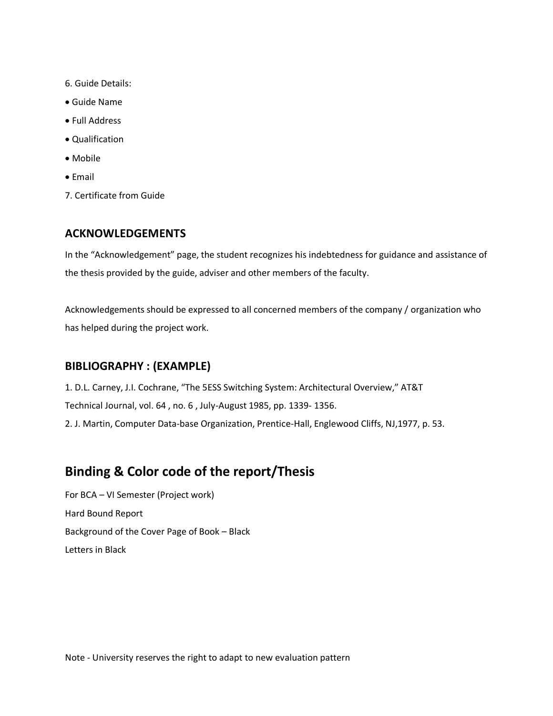- 6. Guide Details:
- Guide Name
- Full Address
- Qualification
- $\bullet$  Mobile
- $\bullet$  Email
- 7. Certificate from Guide

#### **ACKNOWLEDGEMENTS**

In the "Acknowledgement" page, the student recognizes his indebtedness for guidance and assistance of the thesis provided by the guide, adviser and other members of the faculty.

Acknowledgements should be expressed to all concerned members of the company / organization who has helped during the project work.

#### **BIBLIOGRAPHY : (EXAMPLE)**

1. D.L. Carney, J.I. Cochrane, "The 5ESS Switching System: Architectural Overview," AT&T Technical Journal, vol. 64 , no. 6 , July-August 1985, pp. 1339- 1356. 2. J. Martin, Computer Data-base Organization, Prentice-Hall, Englewood Cliffs, NJ,1977, p. 53.

## **Binding & Color code of the report/Thesis**

For BCA – VI Semester (Project work) Hard Bound Report Background of the Cover Page of Book – Black Letters in Black